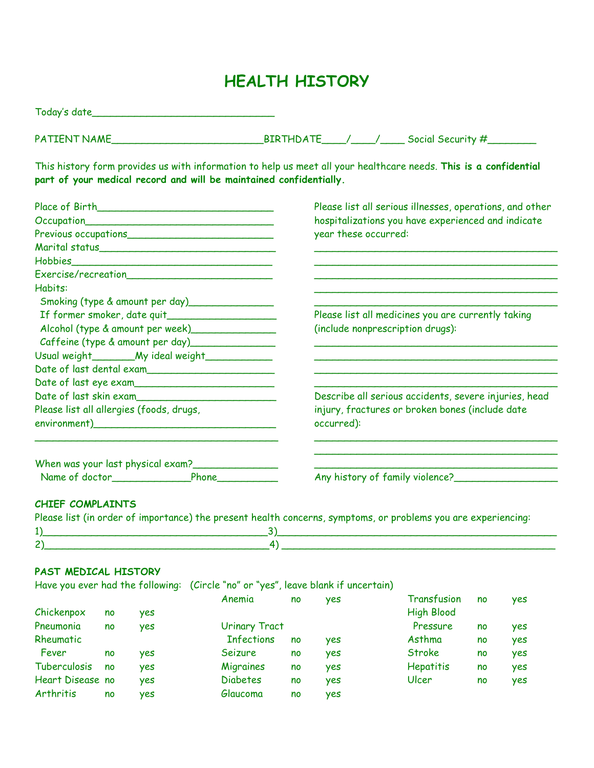# **HEALTH HISTORY**

Today's date\_\_\_\_\_\_\_\_\_\_\_\_\_\_\_\_\_\_\_\_\_\_\_\_\_\_\_\_\_\_

PATIENT NAME\_\_\_\_\_\_\_\_\_\_\_\_\_\_\_\_\_\_\_\_\_\_\_\_\_BIRTHDATE\_\_\_\_/\_\_\_\_/\_\_\_\_ Social Security #\_\_\_\_\_\_\_\_

This history form provides us with information to help us meet all your healthcare needs. **This is a confidential part of your medical record and will be maintained confidentially.**

| Please list all serious illnesses, operations, and other |  |  |  |  |
|----------------------------------------------------------|--|--|--|--|
| hospitalizations you have experienced and indicate       |  |  |  |  |
| year these occurred:                                     |  |  |  |  |
|                                                          |  |  |  |  |
|                                                          |  |  |  |  |
|                                                          |  |  |  |  |
|                                                          |  |  |  |  |
|                                                          |  |  |  |  |
| Please list all medicines you are currently taking       |  |  |  |  |
| (include nonprescription drugs):                         |  |  |  |  |
|                                                          |  |  |  |  |
|                                                          |  |  |  |  |
|                                                          |  |  |  |  |
|                                                          |  |  |  |  |
| Describe all serious accidents, severe injuries, head    |  |  |  |  |
| injury, fractures or broken bones (include date          |  |  |  |  |
| occurred):                                               |  |  |  |  |
|                                                          |  |  |  |  |
| Any history of family violence?                          |  |  |  |  |
|                                                          |  |  |  |  |

|  | rieuse iisi (in order of importance) me present neurin concerns, symptoms, or problems you ure experiencing. |
|--|--------------------------------------------------------------------------------------------------------------|
|  |                                                                                                              |
|  |                                                                                                              |

## **PAST MEDICAL HISTORY**

Have you ever had the following: (Circle "no" or "yes", leave blank if uncertain)

|                  |    |            | Anemia               | no | <b>yes</b> | Transfusion       | no | yes |
|------------------|----|------------|----------------------|----|------------|-------------------|----|-----|
| Chickenpox       | no | <b>yes</b> |                      |    |            | <b>High Blood</b> |    |     |
| Pneumonia        | no | ves        | <b>Urinary Tract</b> |    |            | Pressure          | no | yes |
| Rheumatic        |    |            | <b>Infections</b>    | no | <b>yes</b> | Asthma            | no | yes |
| Fever            | no | ves        | Seizure              | no | ves        | <b>Stroke</b>     | no | yes |
| Tuberculosis     | no | <b>yes</b> | Migraines            | no | ves        | <b>Hepatitis</b>  | no | yes |
| Heart Disease no |    | <b>yes</b> | <b>Diabetes</b>      | no | yes        | Ulcer             | no | yes |
| Arthritis        | no | ves        | Glaucoma             | no | yes        |                   |    |     |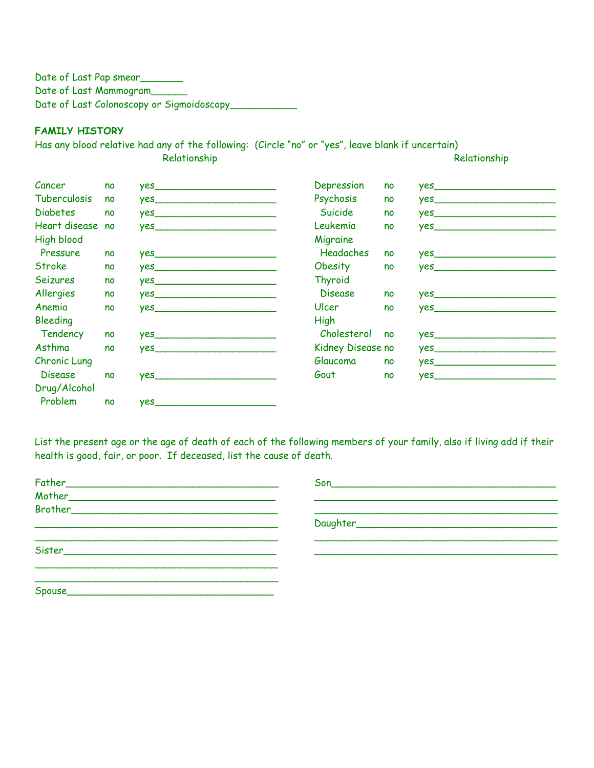Date of Last Pap smear Date of Last Mammogram Date of Last Colonoscopy or Sigmoidoscopy\_\_\_\_\_\_\_\_\_\_\_

### **FAMILY HISTORY**

Has any blood relative had any of the following: (Circle "no" or "yes", leave blank if uncertain) Relationship Relationship Relationship

| Cancer              | no | yes                                                                                                                                                                                                                                 | Depression        | no | $yes$ and $(1, 1)$                                                                                                   |
|---------------------|----|-------------------------------------------------------------------------------------------------------------------------------------------------------------------------------------------------------------------------------------|-------------------|----|----------------------------------------------------------------------------------------------------------------------|
| <b>Tuberculosis</b> | no |                                                                                                                                                                                                                                     | Psychosis         | no |                                                                                                                      |
| <b>Diabetes</b>     | no |                                                                                                                                                                                                                                     | Suicide           | no | <b>yes</b> and the second second second second second second second second second second second second second second |
| Heart disease no    |    |                                                                                                                                                                                                                                     | Leukemia          | no | $yes$ and $(1)$                                                                                                      |
| <b>High blood</b>   |    |                                                                                                                                                                                                                                     | Migraine          |    |                                                                                                                      |
| Pressure            | no | yes                                                                                                                                                                                                                                 | <b>Headaches</b>  | no | yes                                                                                                                  |
| <b>Stroke</b>       | no |                                                                                                                                                                                                                                     | Obesity           | no |                                                                                                                      |
| Seizures            | no | <b>yes</b> and the second second second second second second second second second second second second second second                                                                                                                | Thyroid           |    |                                                                                                                      |
| Allergies           | no | <b>yes</b> and the second contract of the second second contract of the second second contract of the second second second second second second second second second second second second second second second second second second | <b>Disease</b>    | no | yes                                                                                                                  |
| Anemia              | no | $yes$ and $(1, 1)$ and $(2, 1)$ and $(3, 1)$ and $(3, 1)$ and $(3, 1)$ and $(3, 1)$ and $(3, 1)$ and $(3, 1)$ and $(3, 1)$ and $(3, 1)$ and $(3, 1)$ and $(3, 1)$ and $(3, 1)$ and $(3, 1)$ and $(3, 1)$ and $(3, 1)$ and $(3, $    | Ulcer             | no | $yes$ and $(1)$                                                                                                      |
| Bleeding            |    |                                                                                                                                                                                                                                     | High              |    |                                                                                                                      |
| Tendency            | no | yes                                                                                                                                                                                                                                 | Cholesterol       | no | $yes$ and $(1, 2)$                                                                                                   |
| Asthma              | no |                                                                                                                                                                                                                                     | Kidney Disease no |    |                                                                                                                      |
| Chronic Lung        |    |                                                                                                                                                                                                                                     | Glaucoma          | no | yes                                                                                                                  |
| <b>Disease</b>      | no | $yes$ and $(1)$                                                                                                                                                                                                                     | Gout              | no | yes                                                                                                                  |
| Drug/Alcohol        |    |                                                                                                                                                                                                                                     |                   |    |                                                                                                                      |
| Problem             | no | <b>yes</b>                                                                                                                                                                                                                          |                   |    |                                                                                                                      |

List the present age or the age of death of each of the following members of your family, also if living add if their health is good, fair, or poor. If deceased, list the cause of death.

| Spouse |  |
|--------|--|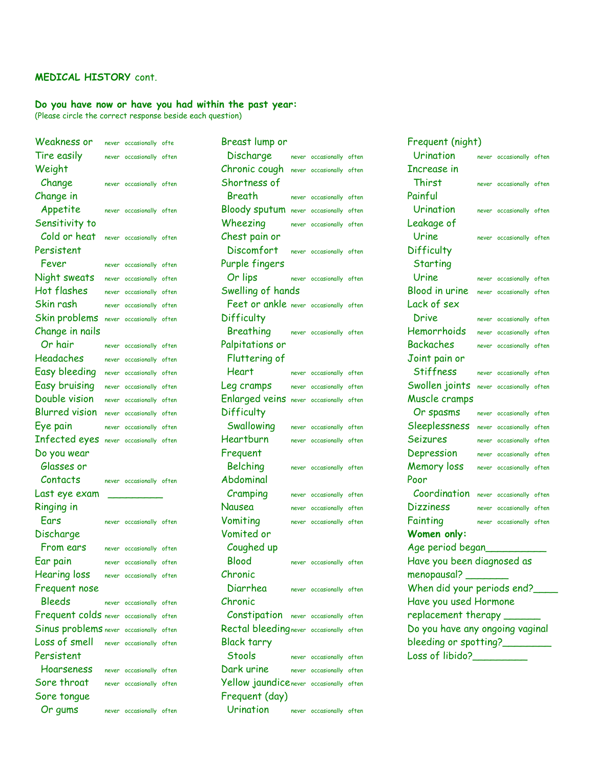### **MEDICAL HISTORY** cont.

# **Do you have now or have you had within the past year:**

(Please circle the correct response beside each question)

| Weakness or                             | never occasionally ofte  | Breast lump or                           |                          | Frequent (night)                |                          |  |
|-----------------------------------------|--------------------------|------------------------------------------|--------------------------|---------------------------------|--------------------------|--|
| Tire easily                             | never occasionally often | Discharge                                | never occasionally often | Urination                       | never occasionally often |  |
| Weight                                  |                          | Chronic cough never occasionally often   |                          | Increase in                     |                          |  |
| Change                                  | never occasionally often | Shortness of                             |                          | <b>Thirst</b>                   | never occasionally often |  |
| Change in                               |                          | Breath                                   | never occasionally often | Painful                         |                          |  |
| Appetite                                | never occasionally often | Bloody sputum never occasionally often   |                          | Urination                       | never occasionally often |  |
| Sensitivity to                          |                          | Wheezing                                 | never occasionally often | Leakage of                      |                          |  |
| Cold or heat                            | never occasionally often | Chest pain or                            |                          | Urine                           | never occasionally often |  |
| Persistent                              |                          | Discomfort                               | never occasionally often | Difficulty                      |                          |  |
| Fever                                   | never occasionally often | Purple fingers                           |                          | Starting                        |                          |  |
| Night sweats                            | never occasionally often | Or lips                                  | never occasionally often | Urine                           | never occasionally often |  |
| Hot flashes                             | never occasionally often | Swelling of hands                        |                          | Blood in urine                  | never occasionally often |  |
| Skin rash                               | never occasionally often | Feet or ankle never occasionally often   |                          | Lack of sex                     |                          |  |
| Skin problems never occasionally often  |                          | Difficulty                               |                          | Drive                           | never occasionally often |  |
| Change in nails                         |                          | Breathing                                | never occasionally often | Hemorrhoids                     | never occasionally often |  |
| Or hair                                 | never occasionally often | Palpitations or                          |                          | <b>Backaches</b>                | never occasionally often |  |
| Headaches                               | never occasionally often | Fluttering of                            |                          | Joint pain or                   |                          |  |
| Easy bleeding                           | never occasionally often | <b>Heart</b>                             | never occasionally often | <b>Stiffness</b>                | never occasionally often |  |
| Easy bruising                           | never occasionally often | Leg cramps                               | never occasionally often | Swollen joints                  | never occasionally often |  |
| Double vision                           | never occasionally often | Enlarged veins never occasionally often  |                          | Muscle cramps                   |                          |  |
| <b>Blurred vision</b>                   | never occasionally often | Difficulty                               |                          | Or spasms                       | never occasionally often |  |
| Eye pain                                | never occasionally often | Swallowing                               | never occasionally often | Sleeplessness                   | never occasionally often |  |
| Infected eyes never occasionally often  |                          | Heartburn                                | never occasionally often | <b>Seizures</b>                 | never occasionally often |  |
| Do you wear                             |                          | Frequent                                 |                          | Depression                      | never occasionally often |  |
| Glasses or                              |                          | Belching                                 | never occasionally often | Memory loss                     | never occasionally often |  |
| Contacts                                | never occasionally often | Abdominal                                |                          | Poor                            |                          |  |
| Last eye exam                           |                          | Cramping                                 | never occasionally often | Coordination                    | never occasionally often |  |
| Ringing in                              |                          | Nausea                                   | never occasionally often | <b>Dizziness</b>                | never occasionally often |  |
| Ears                                    | never occasionally often | Vomiting                                 | never occasionally often | Fainting                        | never occasionally often |  |
| Discharge                               |                          | Vomited or                               |                          | Women only:                     |                          |  |
| From ears                               | never occasionally often | Coughed up                               |                          | Age period began                |                          |  |
| Ear pain                                | never occasionally often | <b>Blood</b>                             | never occasionally often | Have you been diagnosed as      |                          |  |
| <b>Hearing loss</b>                     | never occasionally often | Chronic                                  |                          | menopausal?                     |                          |  |
| Frequent nose                           |                          | Diarrhea                                 | never occasionally often | When did your periods end?      |                          |  |
| <b>Bleeds</b>                           | never occasionally often | Chronic                                  |                          | Have you used Hormone           |                          |  |
| Frequent colds never occasionally often |                          | Constipation never occasionally often    |                          | replacement therapy _           |                          |  |
| Sinus problems never occasionally often |                          | Rectal bleeding never occasionally often |                          | Do you have any ongoing vaginal |                          |  |
| Loss of smell                           | never occasionally often | Black tarry                              |                          | bleeding or spotting?           |                          |  |
| Persistent                              |                          | <b>Stools</b>                            | never occasionally often | Loss of libido?                 |                          |  |
| Hoarseness                              | never occasionally often | Dark urine                               | never occasionally often |                                 |                          |  |
| Sore throat                             | never occasionally often | Yellow jaundicenever occasionally often  |                          |                                 |                          |  |
| Sore tongue                             |                          | Frequent (day)                           |                          |                                 |                          |  |
| Or gums                                 | never occasionally often | Urination                                | never occasionally often |                                 |                          |  |